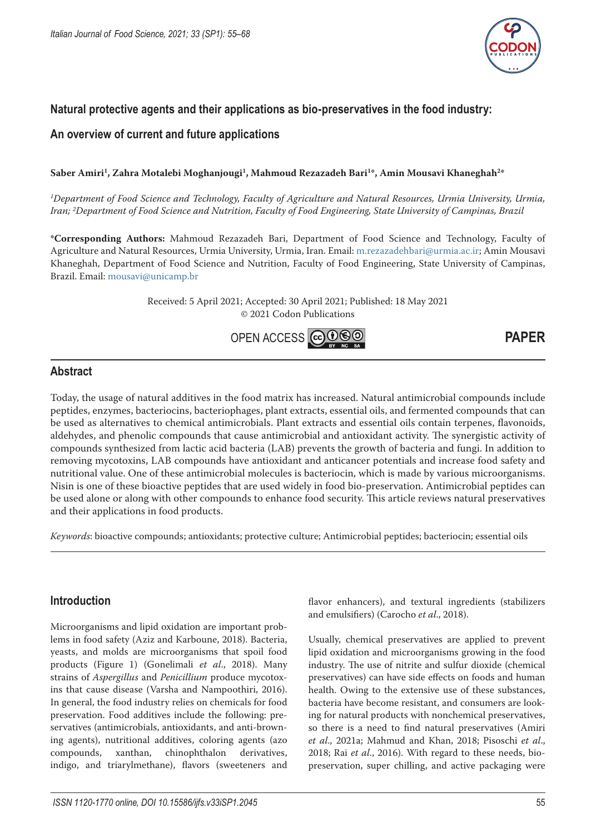

# **Natural protective agents and their applications as bio-preservatives in the food industry:**

## **An overview of current and future applications**

## Saber Amiri<sup>1</sup>, Zahra Motalebi Moghanjougi<sup>1</sup>, Mahmoud Rezazadeh Bari<sup>1\*</sup>, Amin Mousavi Khaneghah<sup>2\*</sup>

*1 Department of Food Science and Technology, Faculty of Agriculture and Natural Resources, Urmia University, Urmia, Iran; 2 Department of Food Science and Nutrition, Faculty of Food Engineering, State University of Campinas, Brazil*

**\*Corresponding Authors:** Mahmoud Rezazadeh Bari, Department of Food Science and Technology, Faculty of Agriculture and Natural Resources, Urmia University, Urmia, Iran. Email: [m.rezazadehbari@urmia.ac.ir](mailto:m.rezazadehbari@urmia.ac.ir); Amin Mousavi Khaneghah, Department of Food Science and Nutrition, Faculty of Food Engineering, State University of Campinas, Brazil. Email: [mousavi@unicamp.br](mailto:mousavi@unicamp.br)

> Received: 5 April 2021; Accepted: 30 April 2021; Published: 18 May 2021 © 2021 Codon Publications



## **Abstract**

Today, the usage of natural additives in the food matrix has increased. Natural antimicrobial compounds include peptides, enzymes, bacteriocins, bacteriophages, plant extracts, essential oils, and fermented compounds that can be used as alternatives to chemical antimicrobials. Plant extracts and essential oils contain terpenes, flavonoids, aldehydes, and phenolic compounds that cause antimicrobial and antioxidant activity. The synergistic activity of compounds synthesized from lactic acid bacteria (LAB) prevents the growth of bacteria and fungi. In addition to removing mycotoxins, LAB compounds have antioxidant and anticancer potentials and increase food safety and nutritional value. One of these antimicrobial molecules is bacteriocin, which is made by various microorganisms. Nisin is one of these bioactive peptides that are used widely in food bio-preservation. Antimicrobial peptides can be used alone or along with other compounds to enhance food security. This article reviews natural preservatives and their applications in food products.

*Keywords*: bioactive compounds; antioxidants; protective culture; Antimicrobial peptides; bacteriocin; essential oils

# **Introduction**

Microorganisms and lipid oxidation are important problems in food safety (Aziz and Karboune, 2018). Bacteria, yeasts, and molds are microorganisms that spoil food products (Figure 1) (Gonelimali *et al*., 2018). Many strains of *Aspergillus* and *Penicillium* produce mycotoxins that cause disease (Varsha and Nampoothiri, 2016). In general, the food industry relies on chemicals for food preservation. Food additives include the following: preservatives (antimicrobials, antioxidants, and anti-browning agents), nutritional additives, coloring agents (azo compounds, xanthan, chinophthalon derivatives, indigo, and triarylmethane), flavors (sweeteners and flavor enhancers), and textural ingredients (stabilizers and emulsifiers) (Carocho *et al*., 2018).

Usually, chemical preservatives are applied to prevent lipid oxidation and microorganisms growing in the food industry. The use of nitrite and sulfur dioxide (chemical preservatives) can have side effects on foods and human health. Owing to the extensive use of these substances, bacteria have become resistant, and consumers are looking for natural products with nonchemical preservatives, so there is a need to find natural preservatives (Amiri *et al*., 2021a; Mahmud and Khan, 2018; Pisoschi *et al*., 2018; Rai *et al*., 2016). With regard to these needs, biopreservation, super chilling, and active packaging were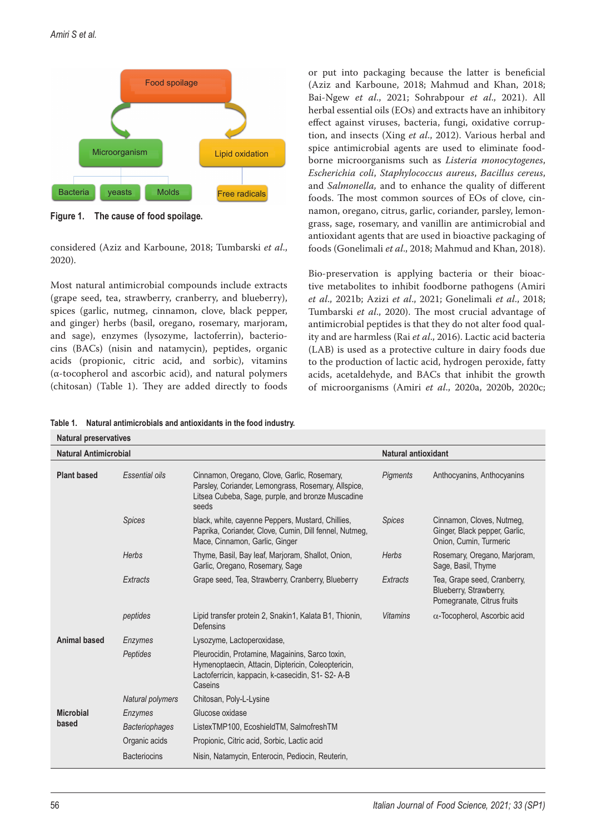*Amiri S et al.*



**Figure 1. The cause of food spoilage.**

considered (Aziz and Karboune, 2018; Tumbarski *et al*., 2020).

Most natural antimicrobial compounds include extracts (grape seed, tea, strawberry, cranberry, and blueberry), spices (garlic, nutmeg, cinnamon, clove, black pepper, and ginger) herbs (basil, oregano, rosemary, marjoram, and sage), enzymes (lysozyme, lactoferrin), bacteriocins (BACs) (nisin and natamycin), peptides, organic acids (propionic, citric acid, and sorbic), vitamins (α-tocopherol and ascorbic acid), and natural polymers (chitosan) (Table 1). They are added directly to foods or put into packaging because the latter is beneficial (Aziz and Karboune, 2018; Mahmud and Khan, 2018; Bai-Ngew *et al*., 2021; Sohrabpour *et al*., 2021). All herbal essential oils (EOs) and extracts have an inhibitory effect against viruses, bacteria, fungi, oxidative corruption, and insects (Xing *et al*., 2012). Various herbal and spice antimicrobial agents are used to eliminate foodborne microorganisms such as *Listeria monocytogenes*, *Escherichia coli*, *Staphylococcus aureus*, *Bacillus cereus*, and *Salmonella,* and to enhance the quality of different foods. The most common sources of EOs of clove, cinnamon, oregano, citrus, garlic, coriander, parsley, lemongrass, sage, rosemary, and vanillin are antimicrobial and antioxidant agents that are used in bioactive packaging of foods (Gonelimali *et al*., 2018; Mahmud and Khan, 2018).

Bio-preservation is applying bacteria or their bioactive metabolites to inhibit foodborne pathogens (Amiri *et al*., 2021b; Azizi *et al*., 2021; Gonelimali *et al*., 2018; Tumbarski *et al*., 2020). The most crucial advantage of antimicrobial peptides is that they do not alter food quality and are harmless (Rai *et al*., 2016). Lactic acid bacteria (LAB) is used as a protective culture in dairy foods due to the production of lactic acid, hydrogen peroxide, fatty acids, acetaldehyde, and BACs that inhibit the growth of microorganisms (Amiri *et al*., 2020a, 2020b, 2020c;

**Table 1. Natural antimicrobials and antioxidants in the food industry.**

| <b>Natural preservatives</b> |                         |                                                                                                                                                                      |                     |                                                                                      |
|------------------------------|-------------------------|----------------------------------------------------------------------------------------------------------------------------------------------------------------------|---------------------|--------------------------------------------------------------------------------------|
| Natural Antimicrobial        |                         |                                                                                                                                                                      | Natural antioxidant |                                                                                      |
| <b>Plant based</b>           | Essential oils          | Cinnamon, Oregano, Clove, Garlic, Rosemary,<br>Parsley, Coriander, Lemongrass, Rosemary, Allspice,<br>Litsea Cubeba, Sage, purple, and bronze Muscadine<br>seeds     | <b>Pigments</b>     | Anthocyanins, Anthocyanins                                                           |
|                              | <b>Spices</b>           | black, white, cayenne Peppers, Mustard, Chillies,<br>Paprika, Coriander, Clove, Cumin, Dill fennel, Nutmeg,<br>Mace, Cinnamon, Garlic, Ginger                        | <b>Spices</b>       | Cinnamon, Cloves, Nutmeg,<br>Ginger, Black pepper, Garlic,<br>Onion, Cumin, Turmeric |
|                              | Herbs                   | Thyme, Basil, Bay leaf, Marjoram, Shallot, Onion,<br>Garlic, Oregano, Rosemary, Sage                                                                                 | Herbs               | Rosemary, Oregano, Marjoram,<br>Sage, Basil, Thyme                                   |
|                              | Extracts                | Grape seed, Tea, Strawberry, Cranberry, Blueberry                                                                                                                    | Extracts            | Tea, Grape seed, Cranberry,<br>Blueberry, Strawberry,<br>Pomegranate, Citrus fruits  |
|                              | peptides                | Lipid transfer protein 2, Snakin1, Kalata B1, Thionin,<br>Defensins                                                                                                  | <b>Vitamins</b>     | $\alpha$ -Tocopherol, Ascorbic acid                                                  |
| Animal based                 | Enzymes                 | Lysozyme, Lactoperoxidase,                                                                                                                                           |                     |                                                                                      |
|                              | Peptides                | Pleurocidin, Protamine, Magainins, Sarco toxin,<br>Hymenoptaecin, Attacin, Diptericin, Coleoptericin,<br>Lactoferricin, kappacin, k-casecidin, S1- S2-A-B<br>Caseins |                     |                                                                                      |
|                              | <b>Natural polymers</b> | Chitosan, Poly-L-Lysine                                                                                                                                              |                     |                                                                                      |
| <b>Microbial</b><br>based    | Enzymes                 | Glucose oxidase                                                                                                                                                      |                     |                                                                                      |
|                              | <b>Bacteriophages</b>   | ListexTMP100, EcoshieldTM, SalmofreshTM                                                                                                                              |                     |                                                                                      |
|                              | Organic acids           | Propionic, Citric acid, Sorbic, Lactic acid                                                                                                                          |                     |                                                                                      |
|                              | <b>Bacteriocins</b>     | Nisin, Natamycin, Enterocin, Pediocin, Reuterin,                                                                                                                     |                     |                                                                                      |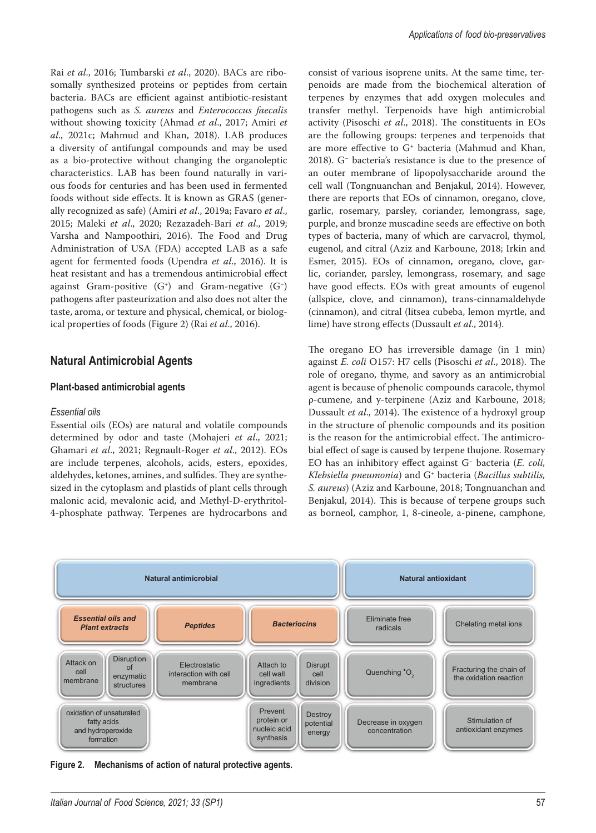Rai *et al*., 2016; Tumbarski *et al*., 2020). BACs are ribosomally synthesized proteins or peptides from certain bacteria. BACs are efficient against antibiotic-resistant pathogens such as *S. aureus* and *Enterococcus faecalis* without showing toxicity (Ahmad *et al*., 2017; Amiri *et al*., 2021c; Mahmud and Khan, 2018). LAB produces a diversity of antifungal compounds and may be used as a bio-protective without changing the organoleptic characteristics. LAB has been found naturally in various foods for centuries and has been used in fermented foods without side effects. It is known as GRAS (generally recognized as safe) (Amiri *et al*., 2019a; Favaro *et al*., 2015; Maleki *et al*., 2020; Rezazadeh-Bari *et al*., 2019; Varsha and Nampoothiri, 2016). The Food and Drug Administration of USA (FDA) accepted LAB as a safe agent for fermented foods (Upendra *et al*., 2016). It is heat resistant and has a tremendous antimicrobial effect against Gram-positive  $(G<sup>+</sup>)$  and Gram-negative  $(G<sup>-</sup>)$ pathogens after pasteurization and also does not alter the taste, aroma, or texture and physical, chemical, or biological properties of foods (Figure 2) (Rai *et al*., 2016).

## **Natural Antimicrobial Agents**

### **Plant-based antimicrobial agents**

#### *Essential oils*

Essential oils (EOs) are natural and volatile compounds determined by odor and taste (Mohajeri *et al*., 2021; Ghamari *et al*., 2021; Regnault-Roger *et al*., 2012). EOs are include terpenes, alcohols, acids, esters, epoxides, aldehydes, ketones, amines, and sulfides. They are synthesized in the cytoplasm and plastids of plant cells through malonic acid, mevalonic acid, and Methyl-D-erythritol-4-phosphate pathway. Terpenes are hydrocarbons and consist of various isoprene units. At the same time, terpenoids are made from the biochemical alteration of terpenes by enzymes that add oxygen molecules and transfer methyl. Terpenoids have high antimicrobial activity (Pisoschi *et al*., 2018). The constituents in EOs are the following groups: terpenes and terpenoids that are more effective to G+ bacteria (Mahmud and Khan, 2018). G− bacteria's resistance is due to the presence of an outer membrane of lipopolysaccharide around the cell wall (Tongnuanchan and Benjakul, 2014). However, there are reports that EOs of cinnamon, oregano, clove, garlic, rosemary, parsley, coriander, lemongrass, sage, purple, and bronze muscadine seeds are effective on both types of bacteria, many of which are carvacrol, thymol, eugenol, and citral (Aziz and Karboune, 2018; Irkin and Esmer, 2015). EOs of cinnamon, oregano, clove, garlic, coriander, parsley, lemongrass, rosemary, and sage have good effects. EOs with great amounts of eugenol (allspice, clove, and cinnamon), trans-cinnamaldehyde (cinnamon), and citral (litsea cubeba, lemon myrtle, and lime) have strong effects (Dussault *et al*., 2014).

The oregano EO has irreversible damage (in 1 min) against *E. coli* O157: H7 cells (Pisoschi *et al*., 2018). The role of oregano, thyme, and savory as an antimicrobial agent is because of phenolic compounds caracole, thymol ρ-cumene, and у-terpinene (Aziz and Karboune, 2018; Dussault *et al*., 2014). The existence of a hydroxyl group in the structure of phenolic compounds and its position is the reason for the antimicrobial effect. The antimicrobial effect of sage is caused by terpene thujone. Rosemary EO has an inhibitory effect against G− bacteria (*E. coli, Klebsiella pneumonia*) and G+ bacteria (*Bacillus subtilis, S. aureus*) (Aziz and Karboune, 2018; Tongnuanchan and Benjakul, 2014). This is because of terpene groups such as borneol, camphor, 1, 8-cineole, a-pinene, camphone,



**Figure 2. Mechanisms of action of natural protective agents.**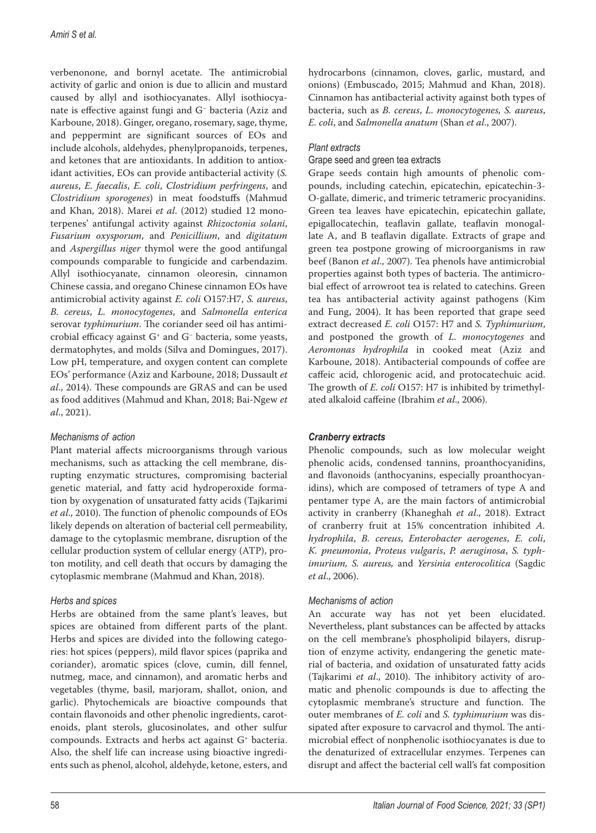verbenonone, and bornyl acetate. The antimicrobial activity of garlic and onion is due to allicin and mustard caused by allyl and isothiocyanates. Allyl isothiocyanate is effective against fungi and G− bacteria (Aziz and Karboune, 2018). Ginger, oregano, rosemary, sage, thyme, and peppermint are significant sources of EOs and include alcohols, aldehydes, phenylpropanoids, terpenes, and ketones that are antioxidants. In addition to antioxidant activities, EOs can provide antibacterial activity (*S. aureus*, *E. faecalis*, *E. coli*, *Clostridium perfringens*, and *Clostridium sporogenes*) in meat foodstuffs (Mahmud and Khan, 2018). Marei *et al*. (2012) studied 12 monoterpenes' antifungal activity against *Rhizoctonia solani*, *Fusarium oxysporum*, and *Penicillium*, and *digitatum* and *Aspergillus niger* thymol were the good antifungal compounds comparable to fungicide and carbendazim. Allyl isothiocyanate, cinnamon oleoresin, cinnamon Chinese cassia, and oregano Chinese cinnamon EOs have antimicrobial activity against *E. coli* O157:H7, *S. aureus*, *B. cereus*, *L. monocytogenes*, and *Salmonella enterica*  serovar *typhimurium*. The coriander seed oil has antimicrobial efficacy against G+ and G− bacteria, some yeasts, dermatophytes, and molds (Silva and Domingues, 2017). Low pH, temperature, and oxygen content can complete EOs' performance (Aziz and Karboune, 2018; Dussault *et al*., 2014). These compounds are GRAS and can be used as food additives (Mahmud and Khan, 2018; Bai-Ngew *et al*., 2021).

## *Mechanisms of action*

Plant material affects microorganisms through various mechanisms, such as attacking the cell membrane, disrupting enzymatic structures, compromising bacterial genetic material, and fatty acid hydroperoxide formation by oxygenation of unsaturated fatty acids (Tajkarimi *et al*., 2010). The function of phenolic compounds of EOs likely depends on alteration of bacterial cell permeability, damage to the cytoplasmic membrane, disruption of the cellular production system of cellular energy (ATP), proton motility, and cell death that occurs by damaging the cytoplasmic membrane (Mahmud and Khan, 2018).

## *Herbs and spices*

Herbs are obtained from the same plant's leaves, but spices are obtained from different parts of the plant. Herbs and spices are divided into the following categories: hot spices (peppers), mild flavor spices (paprika and coriander), aromatic spices (clove, cumin, dill fennel, nutmeg, mace, and cinnamon), and aromatic herbs and vegetables (thyme, basil, marjoram, shallot, onion, and garlic). Phytochemicals are bioactive compounds that contain flavonoids and other phenolic ingredients, carotenoids, plant sterols, glucosinolates, and other sulfur compounds. Extracts and herbs act against G+ bacteria. Also, the shelf life can increase using bioactive ingredients such as phenol, alcohol, aldehyde, ketone, esters, and hydrocarbons (cinnamon, cloves, garlic, mustard, and onions) (Embuscado, 2015; Mahmud and Khan, 2018). Cinnamon has antibacterial activity against both types of bacteria, such as *B. cereus*, *L. monocytogenes, S. aureus*, *E. coli*, and *Salmonella anatum* (Shan *et al*., 2007).

## *Plant extracts*

## Grape seed and green tea extracts

Grape seeds contain high amounts of phenolic compounds, including catechin, epicatechin, epicatechin-3- O-gallate, dimeric, and trimeric tetrameric procyanidins. Green tea leaves have epicatechin, epicatechin gallate, epigallocatechin, teaflavin gallate, teaflavin monogallate A, and B teaflavin digallate. Extracts of grape and green tea postpone growing of microorganisms in raw beef (Banon *et al*., 2007). Tea phenols have antimicrobial properties against both types of bacteria. The antimicrobial effect of arrowroot tea is related to catechins. Green tea has antibacterial activity against pathogens (Kim and Fung, 2004). It has been reported that grape seed extract decreased *E. coli* O157: H7 and *S. Typhimurium*, and postponed the growth of *L. monocytogenes* and *Aeromonas hydrophila* in cooked meat (Aziz and Karboune, 2018). Antibacterial compounds of coffee are caffeic acid, chlorogenic acid, and protocatechuic acid. The growth of *E. coli* O157: H7 is inhibited by trimethylated alkaloid caffeine (Ibrahim *et al*., 2006).

## *Cranberry extracts*

Phenolic compounds, such as low molecular weight phenolic acids, condensed tannins, proanthocyanidins, and flavonoids (anthocyanins, especially proanthocyanidins), which are composed of tetramers of type A and pentamer type A, are the main factors of antimicrobial activity in cranberry (Khaneghah *et al*., 2018). Extract of cranberry fruit at 15% concentration inhibited *A. hydrophila*, *B. cereus*, *Enterobacter aerogenes*, *E. coli*, *K. pneumonia*, *Proteus vulgaris*, *P. aeruginosa*, *S. typhimurium, S. aureus,* and *Yersinia enterocolitica* (Sagdic *et al*., 2006).

## *Mechanisms of action*

An accurate way has not yet been elucidated. Nevertheless, plant substances can be affected by attacks on the cell membrane's phospholipid bilayers, disruption of enzyme activity, endangering the genetic material of bacteria, and oxidation of unsaturated fatty acids (Tajkarimi *et al*., 2010). The inhibitory activity of aromatic and phenolic compounds is due to affecting the cytoplasmic membrane's structure and function. The outer membranes of *E. coli* and *S. typhimurium* was dissipated after exposure to carvacrol and thymol. The antimicrobial effect of nonphenolic isothiocyanates is due to the denaturized of extracellular enzymes. Terpenes can disrupt and affect the bacterial cell wall's fat composition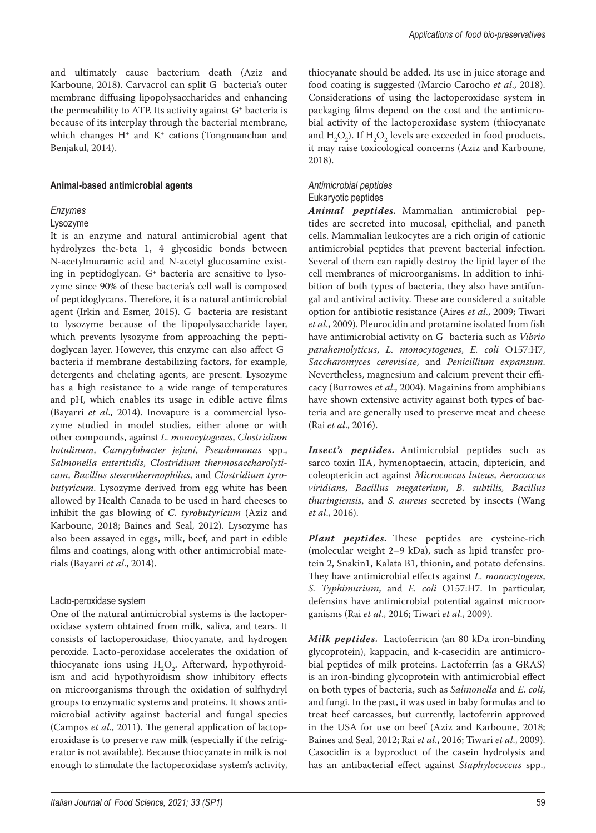and ultimately cause bacterium death (Aziz and Karboune, 2018). Carvacrol can split G− bacteria's outer membrane diffusing lipopolysaccharides and enhancing the permeability to ATP. Its activity against  $G^*$  bacteria is because of its interplay through the bacterial membrane, which changes  $H^+$  and  $K^+$  cations (Tongnuanchan and Benjakul, 2014).

#### **Animal-based antimicrobial agents**

## *Enzymes*

## Lysozyme

It is an enzyme and natural antimicrobial agent that hydrolyzes the-beta 1, 4 glycosidic bonds between N-acetylmuramic acid and N-acetyl glucosamine existing in peptidoglycan. G+ bacteria are sensitive to lysozyme since 90% of these bacteria's cell wall is composed of peptidoglycans. Therefore, it is a natural antimicrobial agent (Irkin and Esmer, 2015). G− bacteria are resistant to lysozyme because of the lipopolysaccharide layer, which prevents lysozyme from approaching the peptidoglycan layer. However, this enzyme can also affect G− bacteria if membrane destabilizing factors, for example, detergents and chelating agents, are present. Lysozyme has a high resistance to a wide range of temperatures and pH, which enables its usage in edible active films (Bayarri *et al*., 2014). Inovapure is a commercial lysozyme studied in model studies, either alone or with other compounds, against *L. monocytogenes*, *Clostridium botulinum*, *Campylobacter jejuni*, *Pseudomonas* spp., *Salmonella enteritidis*, *Clostridium thermosaccharolyticum*, *Bacillus stearothermophilus*, and *Clostridium tyrobutyricum*. Lysozyme derived from egg white has been allowed by Health Canada to be used in hard cheeses to inhibit the gas blowing of *C. tyrobutyricum* (Aziz and Karboune, 2018; Baines and Seal, 2012). Lysozyme has also been assayed in eggs, milk, beef, and part in edible films and coatings, along with other antimicrobial materials (Bayarri *et al*., 2014).

#### Lacto-peroxidase system

One of the natural antimicrobial systems is the lactoperoxidase system obtained from milk, saliva, and tears. It consists of lactoperoxidase, thiocyanate, and hydrogen peroxide. Lacto-peroxidase accelerates the oxidation of thiocyanate ions using  $H_2O_2$ . Afterward, hypothyroidism and acid hypothyroidism show inhibitory effects on microorganisms through the oxidation of sulfhydryl groups to enzymatic systems and proteins. It shows antimicrobial activity against bacterial and fungal species (Campos *et al*., 2011). The general application of lactoperoxidase is to preserve raw milk (especially if the refrigerator is not available). Because thiocyanate in milk is not enough to stimulate the lactoperoxidase system's activity, thiocyanate should be added. Its use in juice storage and food coating is suggested (Marcio Carocho *et al*., 2018). Considerations of using the lactoperoxidase system in packaging films depend on the cost and the antimicrobial activity of the lactoperoxidase system (thiocyanate and  $H_2O_2$ ). If  $H_2O_2$  levels are exceeded in food products, it may raise toxicological concerns (Aziz and Karboune, 2018).

#### *Antimicrobial peptides*

## Eukaryotic peptides

*Animal peptides.* Mammalian antimicrobial peptides are secreted into mucosal, epithelial, and paneth cells. Mammalian leukocytes are a rich origin of cationic antimicrobial peptides that prevent bacterial infection. Several of them can rapidly destroy the lipid layer of the cell membranes of microorganisms. In addition to inhibition of both types of bacteria, they also have antifungal and antiviral activity. These are considered a suitable option for antibiotic resistance (Aires *et al*., 2009; Tiwari *et al*., 2009). Pleurocidin and protamine isolated from fish have antimicrobial activity on G− bacteria such as *Vibrio parahemolyticus*, *L. monocytogenes*, *E. coli* O157:H7, *Saccharomyces cerevisiae*, and *Penicillium expansum*. Nevertheless, magnesium and calcium prevent their efficacy (Burrowes *et al*., 2004). Magainins from amphibians have shown extensive activity against both types of bacteria and are generally used to preserve meat and cheese (Rai *et al*., 2016).

*Insect's peptides.* Antimicrobial peptides such as sarco toxin IIA, hymenoptaecin, attacin, diptericin, and coleoptericin act against *Micrococcus luteus*, *Aerococcus viridians*, *Bacillus megaterium*, *B. subtilis, Bacillus thuringiensis*, and *S. aureus* secreted by insects (Wang *et al*., 2016).

*Plant peptides.* These peptides are cysteine-rich (molecular weight 2–9 kDa), such as lipid transfer protein 2, Snakin1, Kalata B1, thionin, and potato defensins. They have antimicrobial effects against *L. monocytogens*, *S. Typhimurium*, and *E. coli* O157:H7. In particular, defensins have antimicrobial potential against microorganisms (Rai *et al*., 2016; Tiwari *et al*., 2009).

*Milk peptides.* Lactoferricin (an 80 kDa iron-binding glycoprotein), kappacin, and k-casecidin are antimicrobial peptides of milk proteins. Lactoferrin (as a GRAS) is an iron-binding glycoprotein with antimicrobial effect on both types of bacteria, such as *Salmonella* and *E. coli*, and fungi. In the past, it was used in baby formulas and to treat beef carcasses, but currently, lactoferrin approved in the USA for use on beef (Aziz and Karboune, 2018; Baines and Seal, 2012; Rai *et al*., 2016; Tiwari *et al*., 2009). Casocidin is a byproduct of the casein hydrolysis and has an antibacterial effect against *Staphylococcus* spp.,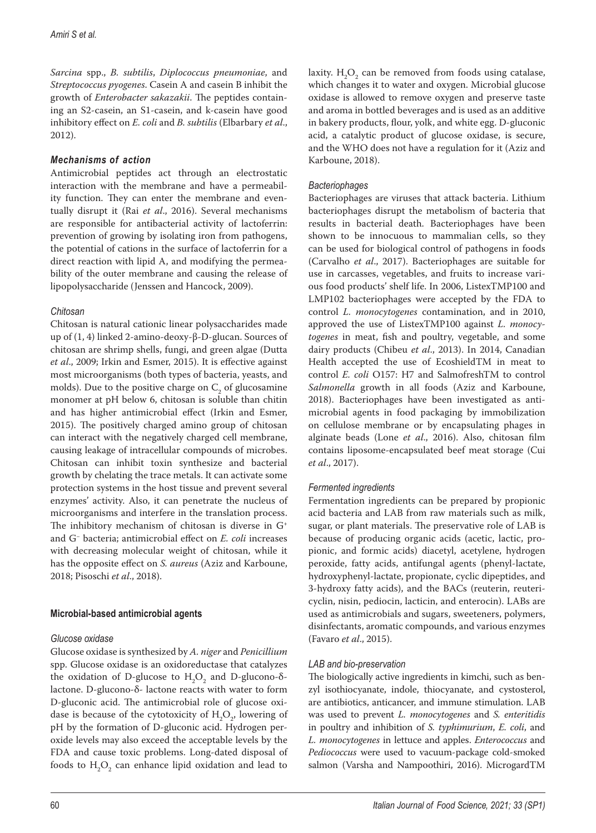*Sarcina* spp., *B. subtilis*, *Diplococcus pneumoniae*, and *Streptococcus pyogenes*. Casein A and casein B inhibit the growth of *Enterobacter sakazakii*. The peptides containing an S2-casein, an S1-casein, and k-casein have good inhibitory effect on *E. coli* and *B. subtilis* (Elbarbary *et al*., 2012).

## *Mechanisms of action*

Antimicrobial peptides act through an electrostatic interaction with the membrane and have a permeability function. They can enter the membrane and eventually disrupt it (Rai *et al*., 2016). Several mechanisms are responsible for antibacterial activity of lactoferrin: prevention of growing by isolating iron from pathogens, the potential of cations in the surface of lactoferrin for a direct reaction with lipid A, and modifying the permeability of the outer membrane and causing the release of lipopolysaccharide (Jenssen and Hancock, 2009).

## *Chitosan*

Chitosan is natural cationic linear polysaccharides made up of (1, 4) linked 2-amino-deoxy-β-D-glucan. Sources of chitosan are shrimp shells, fungi, and green algae (Dutta *et al*., 2009; Irkin and Esmer, 2015). It is effective against most microorganisms (both types of bacteria, yeasts, and molds). Due to the positive charge on  $C_2$  of glucosamine monomer at pH below 6, chitosan is soluble than chitin and has higher antimicrobial effect (Irkin and Esmer, 2015). The positively charged amino group of chitosan can interact with the negatively charged cell membrane, causing leakage of intracellular compounds of microbes. Chitosan can inhibit toxin synthesize and bacterial growth by chelating the trace metals. It can activate some protection systems in the host tissue and prevent several enzymes' activity. Also, it can penetrate the nucleus of microorganisms and interfere in the translation process. The inhibitory mechanism of chitosan is diverse in G+ and G− bacteria; antimicrobial effect on *E. coli* increases with decreasing molecular weight of chitosan, while it has the opposite effect on *S. aureus* (Aziz and Karboune, 2018; Pisoschi *et al*., 2018).

## **Microbial-based antimicrobial agents**

## *Glucose oxidase*

Glucose oxidase is synthesized by *A. niger* and *Penicillium* spp. Glucose oxidase is an oxidoreductase that catalyzes the oxidation of D-glucose to  $H_2O_2$  and D-glucono- $\delta$ lactone. D-glucono-δ- lactone reacts with water to form D-gluconic acid. The antimicrobial role of glucose oxidase is because of the cytotoxicity of  $H_2O_2$ , lowering of pH by the formation of D-gluconic acid. Hydrogen peroxide levels may also exceed the acceptable levels by the FDA and cause toxic problems. Long-dated disposal of foods to  $\mathrm{H}_{2}\mathrm{O}_{2}$  can enhance lipid oxidation and lead to

laxity.  $H_2O_2$  can be removed from foods using catalase, which changes it to water and oxygen. Microbial glucose oxidase is allowed to remove oxygen and preserve taste and aroma in bottled beverages and is used as an additive in bakery products, flour, yolk, and white egg. D-gluconic acid, a catalytic product of glucose oxidase, is secure, and the WHO does not have a regulation for it (Aziz and Karboune, 2018).

## *Bacteriophages*

Bacteriophages are viruses that attack bacteria. Lithium bacteriophages disrupt the metabolism of bacteria that results in bacterial death. Bacteriophages have been shown to be innocuous to mammalian cells, so they can be used for biological control of pathogens in foods (Carvalho *et al*., 2017). Bacteriophages are suitable for use in carcasses, vegetables, and fruits to increase various food products' shelf life. In 2006, ListexTMP100 and LMP102 bacteriophages were accepted by the FDA to control *L. monocytogenes* contamination, and in 2010, approved the use of ListexTMP100 against *L. monocytogenes* in meat, fish and poultry, vegetable, and some dairy products (Chibeu *et al*., 2013). In 2014, Canadian Health accepted the use of EcoshieldTM in meat to control *E. coli* O157: H7 and SalmofreshTM to control *Salmonella* growth in all foods (Aziz and Karboune, 2018). Bacteriophages have been investigated as antimicrobial agents in food packaging by immobilization on cellulose membrane or by encapsulating phages in alginate beads (Lone *et al*., 2016). Also, chitosan film contains liposome-encapsulated beef meat storage (Cui *et al*., 2017).

## *Fermented ingredients*

Fermentation ingredients can be prepared by propionic acid bacteria and LAB from raw materials such as milk, sugar, or plant materials. The preservative role of LAB is because of producing organic acids (acetic, lactic, propionic, and formic acids) diacetyl, acetylene, hydrogen peroxide, fatty acids, antifungal agents (phenyl-lactate, hydroxyphenyl-lactate, propionate, cyclic dipeptides, and 3-hydroxy fatty acids), and the BACs (reuterin, reutericyclin, nisin, pediocin, lacticin, and enterocin). LABs are used as antimicrobials and sugars, sweeteners, polymers, disinfectants, aromatic compounds, and various enzymes (Favaro *et al*., 2015).

## *LAB and bio-preservation*

The biologically active ingredients in kimchi, such as benzyl isothiocyanate, indole, thiocyanate, and cystosterol, are antibiotics, anticancer, and immune stimulation. LAB was used to prevent *L. monocytogenes* and *S. enteritidis* in poultry and inhibition of *S. typhimurium*, *E. coli*, and *L. monocytogenes* in lettuce and apples. *Enterococcus* and *Pediococcus* were used to vacuum-package cold-smoked salmon (Varsha and Nampoothiri, 2016). MicrogardTM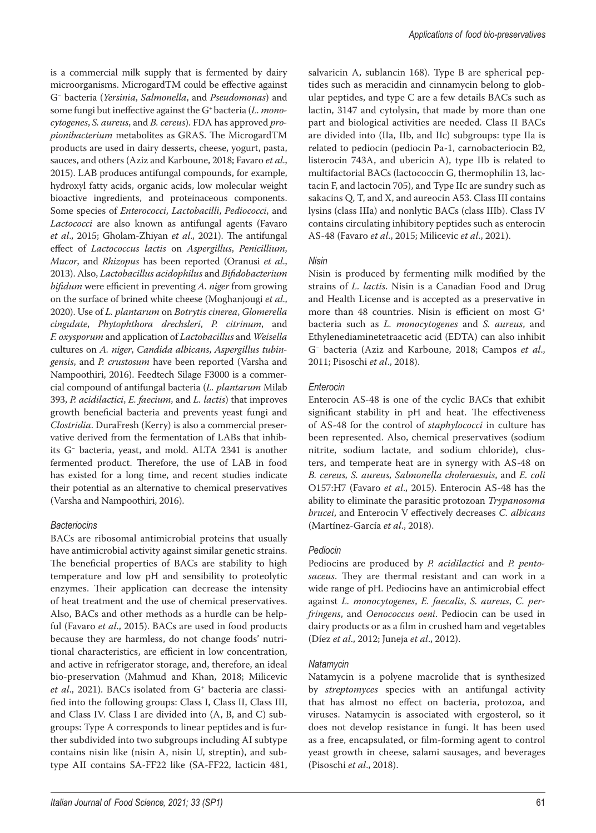is a commercial milk supply that is fermented by dairy microorganisms. MicrogardTM could be effective against G− bacteria (*Yersinia*, *Salmonella*, and *Pseudomonas*) and some fungi but ineffective against the G+ bacteria (*L. monocytogenes*, *S. aureus*, and *B. cereus*). FDA has approved *propionibacterium* metabolites as GRAS. The MicrogardTM products are used in dairy desserts, cheese, yogurt, pasta, sauces, and others (Aziz and Karboune, 2018; Favaro *et al*., 2015). LAB produces antifungal compounds, for example, hydroxyl fatty acids, organic acids, low molecular weight bioactive ingredients, and proteinaceous components. Some species of *Enterococci*, *Lactobacilli*, *Pediococci*, and *Lactococci* are also known as antifungal agents (Favaro *et al*., 2015; Gholam-Zhiyan *et al*., 2021). The antifungal effect of *Lactococcus lactis* on *Aspergillus*, *Penicillium*, *Mucor*, and *Rhizopus* has been reported (Oranusi *et al*., 2013). Also, *Lactobacillus acidophilus* and *Bifidobacterium bifidum* were efficient in preventing *A. niger* from growing on the surface of brined white cheese (Moghanjougi *et al*., 2020). Use of *L. plantarum* on *Botrytis cinerea*, *Glomerella cingulate*, *Phytophthora drechsleri*, *P. citrinum*, and *F. oxysporum* and application of *Lactobacillus* and *Weisella* cultures on *A. niger*, *Candida albicans*, *Aspergillus tubingensis*, and *P. crustosum* have been reported (Varsha and Nampoothiri, 2016). Feedtech Silage F3000 is a commercial compound of antifungal bacteria (*L. plantarum* Milab 393, *P. acidilactici*, *E. faecium*, and *L. lactis*) that improves growth beneficial bacteria and prevents yeast fungi and *Clostridia*. DuraFresh (Kerry) is also a commercial preservative derived from the fermentation of LABs that inhibits G− bacteria, yeast, and mold. ALTA 2341 is another fermented product. Therefore, the use of LAB in food has existed for a long time, and recent studies indicate their potential as an alternative to chemical preservatives (Varsha and Nampoothiri, 2016).

## *Bacteriocins*

BACs are ribosomal antimicrobial proteins that usually have antimicrobial activity against similar genetic strains. The beneficial properties of BACs are stability to high temperature and low pH and sensibility to proteolytic enzymes. Their application can decrease the intensity of heat treatment and the use of chemical preservatives. Also, BACs and other methods as a hurdle can be helpful (Favaro *et al*., 2015). BACs are used in food products because they are harmless, do not change foods' nutritional characteristics, are efficient in low concentration, and active in refrigerator storage, and, therefore, an ideal bio-preservation (Mahmud and Khan, 2018; Milicevic et al., 2021). BACs isolated from G<sup>+</sup> bacteria are classified into the following groups: Class I, Class II, Class III, and Class IV. Class I are divided into (A, B, and C) subgroups: Type A corresponds to linear peptides and is further subdivided into two subgroups including AI subtype contains nisin like (nisin A, nisin U, streptin), and subtype AII contains SA-FF22 like (SA-FF22, lacticin 481, salvaricin A, sublancin 168). Type B are spherical peptides such as meracidin and cinnamycin belong to globular peptides, and type C are a few details BACs such as lactin, 3147 and cytolysin, that made by more than one part and biological activities are needed. Class II BACs are divided into (IIa, IIb, and IIc) subgroups: type IIa is related to pediocin (pediocin Pa-1, carnobacteriocin B2, listerocin 743A, and ubericin A), type IIb is related to multifactorial BACs (lactococcin G, thermophilin 13, lactacin F, and lactocin 705), and Type IIc are sundry such as sakacins Q, T, and X, and aureocin A53. Class III contains lysins (class IIIa) and nonlytic BACs (class IIIb). Class IV contains circulating inhibitory peptides such as enterocin AS-48 (Favaro *et al*., 2015; Milicevic *et al*., 2021).

## *Nisin*

Nisin is produced by fermenting milk modified by the strains of *L. lactis*. Nisin is a Canadian Food and Drug and Health License and is accepted as a preservative in more than 48 countries. Nisin is efficient on most G+ bacteria such as *L. monocytogenes* and *S. aureus*, and Ethylenediaminetetraacetic acid (EDTA) can also inhibit G− bacteria (Aziz and Karboune, 2018; Campos *et al*., 2011; Pisoschi *et al*., 2018).

## *Enterocin*

Enterocin AS-48 is one of the cyclic BACs that exhibit significant stability in pH and heat. The effectiveness of AS-48 for the control of *staphylococci* in culture has been represented. Also, chemical preservatives (sodium nitrite, sodium lactate, and sodium chloride), clusters, and temperate heat are in synergy with AS-48 on *B. cereus, S. aureus, Salmonella choleraesuis*, and *E. coli* O157:H7 (Favaro *et al*., 2015). Enterocin AS-48 has the ability to eliminate the parasitic protozoan *Trypanosoma brucei*, and Enterocin V effectively decreases *C. albicans* (Martínez-García *et al*., 2018).

## *Pediocin*

Pediocins are produced by *P. acidilactici* and *P. pentosaceus*. They are thermal resistant and can work in a wide range of pH. Pediocins have an antimicrobial effect against *L. monocytogenes*, *E. faecalis*, *S. aureus*, *C. perfringens*, and *Oenococcus oeni*. Pediocin can be used in dairy products or as a film in crushed ham and vegetables (Díez *et al*., 2012; Juneja *et al*., 2012).

## *Natamycin*

Natamycin is a polyene macrolide that is synthesized by *streptomyces* species with an antifungal activity that has almost no effect on bacteria, protozoa, and viruses. Natamycin is associated with ergosterol, so it does not develop resistance in fungi. It has been used as a free, encapsulated, or film-forming agent to control yeast growth in cheese, salami sausages, and beverages (Pisoschi *et al*., 2018).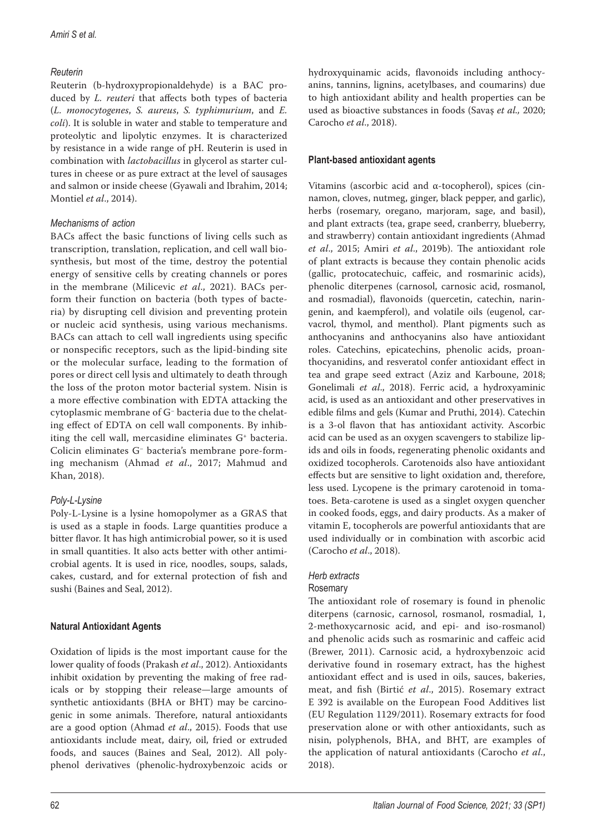## *Reuterin*

Reuterin (b-hydroxypropionaldehyde) is a BAC produced by *L. reuteri* that affects both types of bacteria (*L. monocytogenes*, *S. aureus*, *S. typhimurium*, and *E. coli*). It is soluble in water and stable to temperature and proteolytic and lipolytic enzymes. It is characterized by resistance in a wide range of pH. Reuterin is used in combination with *lactobacillus* in glycerol as starter cultures in cheese or as pure extract at the level of sausages and salmon or inside cheese (Gyawali and Ibrahim, 2014; Montiel *et al*., 2014).

## *Mechanisms of action*

BACs affect the basic functions of living cells such as transcription, translation, replication, and cell wall biosynthesis, but most of the time, destroy the potential energy of sensitive cells by creating channels or pores in the membrane (Milicevic *et al*., 2021). BACs perform their function on bacteria (both types of bacteria) by disrupting cell division and preventing protein or nucleic acid synthesis, using various mechanisms. BACs can attach to cell wall ingredients using specific or nonspecific receptors, such as the lipid-binding site or the molecular surface, leading to the formation of pores or direct cell lysis and ultimately to death through the loss of the proton motor bacterial system. Nisin is a more effective combination with EDTA attacking the cytoplasmic membrane of G− bacteria due to the chelating effect of EDTA on cell wall components. By inhibiting the cell wall, mercasidine eliminates G+ bacteria. Colicin eliminates G− bacteria's membrane pore-forming mechanism (Ahmad *et al*., 2017; Mahmud and Khan, 2018).

# *Poly-L-Lysine*

Poly-L-Lysine is a lysine homopolymer as a GRAS that is used as a staple in foods. Large quantities produce a bitter flavor. It has high antimicrobial power, so it is used in small quantities. It also acts better with other antimicrobial agents. It is used in rice, noodles, soups, salads, cakes, custard, and for external protection of fish and sushi (Baines and Seal, 2012).

# **Natural Antioxidant Agents**

Oxidation of lipids is the most important cause for the lower quality of foods (Prakash *et al*., 2012). Antioxidants inhibit oxidation by preventing the making of free radicals or by stopping their release—large amounts of synthetic antioxidants (BHA or BHT) may be carcinogenic in some animals. Therefore, natural antioxidants are a good option (Ahmad *et al*., 2015). Foods that use antioxidants include meat, dairy, oil, fried or extruded foods, and sauces (Baines and Seal, 2012). All polyphenol derivatives (phenolic-hydroxybenzoic acids or

hydroxyquinamic acids, flavonoids including anthocyanins, tannins, lignins, acetylbases, and coumarins) due to high antioxidant ability and health properties can be used as bioactive substances in foods (Savaş *et al.,* 2020; Carocho *et al*., 2018).

## **Plant-based antioxidant agents**

Vitamins (ascorbic acid and α-tocopherol), spices (cinnamon, cloves, nutmeg, ginger, black pepper, and garlic), herbs (rosemary, oregano, marjoram, sage, and basil), and plant extracts (tea, grape seed, cranberry, blueberry, and strawberry) contain antioxidant ingredients (Ahmad *et al*., 2015; Amiri *et al*., 2019b). The antioxidant role of plant extracts is because they contain phenolic acids (gallic, protocatechuic, caffeic, and rosmarinic acids), phenolic diterpenes (carnosol, carnosic acid, rosmanol, and rosmadial), flavonoids (quercetin, catechin, naringenin, and kaempferol), and volatile oils (eugenol, carvacrol, thymol, and menthol). Plant pigments such as anthocyanins and anthocyanins also have antioxidant roles. Catechins, epicatechins, phenolic acids, proanthocyanidins, and resveratol confer antioxidant effect in tea and grape seed extract (Aziz and Karboune, 2018; Gonelimali *et al*., 2018). Ferric acid, a hydroxyaminic acid, is used as an antioxidant and other preservatives in edible films and gels (Kumar and Pruthi, 2014). Catechin is a 3-ol flavon that has antioxidant activity. Ascorbic acid can be used as an oxygen scavengers to stabilize lipids and oils in foods, regenerating phenolic oxidants and oxidized tocopherols. Carotenoids also have antioxidant effects but are sensitive to light oxidation and, therefore, less used. Lycopene is the primary carotenoid in tomatoes. Beta-carotene is used as a singlet oxygen quencher in cooked foods, eggs, and dairy products. As a maker of vitamin E, tocopherols are powerful antioxidants that are used individually or in combination with ascorbic acid (Carocho *et al*., 2018).

## *Herb extracts*

## Rosemary

The antioxidant role of rosemary is found in phenolic diterpens (carnosic, carnosol, rosmanol, rosmadial, 1, 2-methoxycarnosic acid, and epi- and iso-rosmanol) and phenolic acids such as rosmarinic and caffeic acid (Brewer, 2011). Carnosic acid, a hydroxybenzoic acid derivative found in rosemary extract, has the highest antioxidant effect and is used in oils, sauces, bakeries, meat, and fish (Birtić *et al*., 2015). Rosemary extract E 392 is available on the European Food Additives list (EU Regulation 1129/2011). Rosemary extracts for food preservation alone or with other antioxidants, such as nisin, polyphenols, BHA, and BHT, are examples of the application of natural antioxidants (Carocho *et al*., 2018).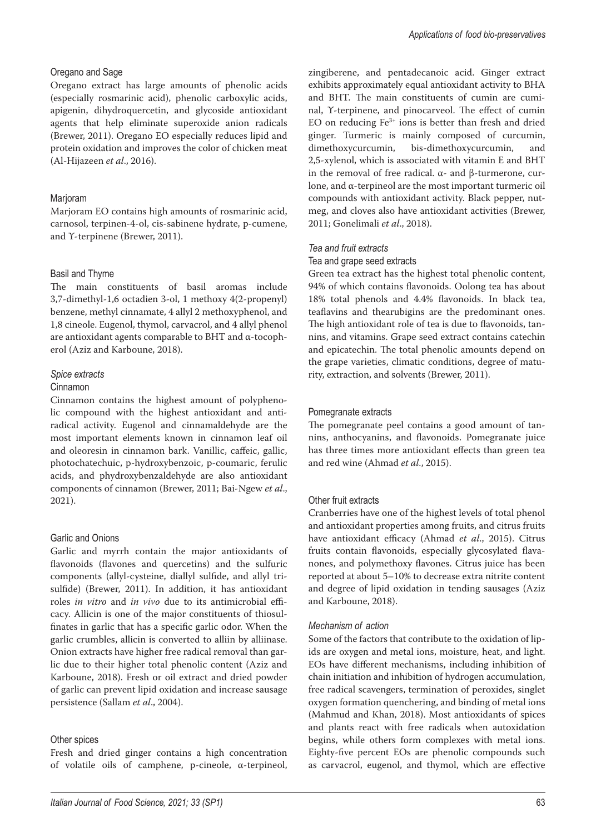### Oregano and Sage

Oregano extract has large amounts of phenolic acids (especially rosmarinic acid), phenolic carboxylic acids, apigenin, dihydroquercetin, and glycoside antioxidant agents that help eliminate superoxide anion radicals (Brewer, 2011). Oregano EO especially reduces lipid and protein oxidation and improves the color of chicken meat (Al-Hijazeen *et al*., 2016).

### Marjoram

Marjoram EO contains high amounts of rosmarinic acid, carnosol, terpinen-4-ol, cis-sabinene hydrate, р-cumene, and Υ-terpinene (Brewer, 2011).

### Basil and Thyme

The main constituents of basil aromas include 3,7-dimethyl-1,6 octadien 3-ol, 1 methoxy 4(2-propenyl) benzene, methyl cinnamate, 4 allyl 2 methoxyphenol, and 1,8 cineole. Eugenol, thymol, carvacrol, and 4 allyl phenol are antioxidant agents comparable to BHT and α-tocopherol (Aziz and Karboune, 2018).

### *Spice extracts*

#### Cinnamon

Cinnamon contains the highest amount of polyphenolic compound with the highest antioxidant and antiradical activity. Eugenol and cinnamaldehyde are the most important elements known in cinnamon leaf oil and oleoresin in cinnamon bark. Vanillic, caffeic, gallic, photochatechuic, p-hydroxybenzoic, p-coumaric, ferulic acids, and phydroxybenzaldehyde are also antioxidant components of cinnamon (Brewer, 2011; Bai-Ngew *et al*., 2021).

## Garlic and Onions

Garlic and myrrh contain the major antioxidants of flavonoids (flavones and quercetins) and the sulfuric components (allyl-cysteine, diallyl sulfide, and allyl trisulfide) (Brewer, 2011). In addition, it has antioxidant roles *in vitro* and *in vivo* due to its antimicrobial efficacy. Allicin is one of the major constituents of thiosulfinates in garlic that has a specific garlic odor. When the garlic crumbles, allicin is converted to alliin by alliinase. Onion extracts have higher free radical removal than garlic due to their higher total phenolic content (Aziz and Karboune, 2018). Fresh or oil extract and dried powder of garlic can prevent lipid oxidation and increase sausage persistence (Sallam *et al*., 2004).

## Other spices

Fresh and dried ginger contains a high concentration of volatile oils of camphene, p-cineole, α-terpineol, zingiberene, and pentadecanoic acid. Ginger extract exhibits approximately equal antioxidant activity to BHA and BHT. The main constituents of cumin are cuminal, Υ-terpinene, and pinocarveol. The effect of cumin EO on reducing Fe3+ ions is better than fresh and dried ginger. Turmeric is mainly composed of curcumin,<br>dimethoxycurcumin, bis-dimethoxycurcumin, and bis-dimethoxycurcumin, and 2,5-xylenol, which is associated with vitamin E and BHT in the removal of free radical. α- and β-turmerone, curlone, and α-terpineol are the most important turmeric oil compounds with antioxidant activity. Black pepper, nutmeg, and cloves also have antioxidant activities (Brewer, 2011; Gonelimali *et al*., 2018).

#### *Tea and fruit extracts*

#### Tea and grape seed extracts

Green tea extract has the highest total phenolic content, 94% of which contains flavonoids. Oolong tea has about 18% total phenols and 4.4% flavonoids. In black tea, teaflavins and thearubigins are the predominant ones. The high antioxidant role of tea is due to flavonoids, tannins, and vitamins. Grape seed extract contains catechin and epicatechin. The total phenolic amounts depend on the grape varieties, climatic conditions, degree of maturity, extraction, and solvents (Brewer, 2011).

### Pomegranate extracts

The pomegranate peel contains a good amount of tannins, anthocyanins, and flavonoids. Pomegranate juice has three times more antioxidant effects than green tea and red wine (Ahmad *et al*., 2015).

#### Other fruit extracts

Cranberries have one of the highest levels of total phenol and antioxidant properties among fruits, and citrus fruits have antioxidant efficacy (Ahmad *et al*., 2015). Citrus fruits contain flavonoids, especially glycosylated flavanones, and polymethoxy flavones. Citrus juice has been reported at about 5–10% to decrease extra nitrite content and degree of lipid oxidation in tending sausages (Aziz and Karboune, 2018).

#### *Mechanism of action*

Some of the factors that contribute to the oxidation of lipids are oxygen and metal ions, moisture, heat, and light. EOs have different mechanisms, including inhibition of chain initiation and inhibition of hydrogen accumulation, free radical scavengers, termination of peroxides, singlet oxygen formation quenchering, and binding of metal ions (Mahmud and Khan, 2018). Most antioxidants of spices and plants react with free radicals when autoxidation begins, while others form complexes with metal ions. Eighty-five percent EOs are phenolic compounds such as carvacrol, eugenol, and thymol, which are effective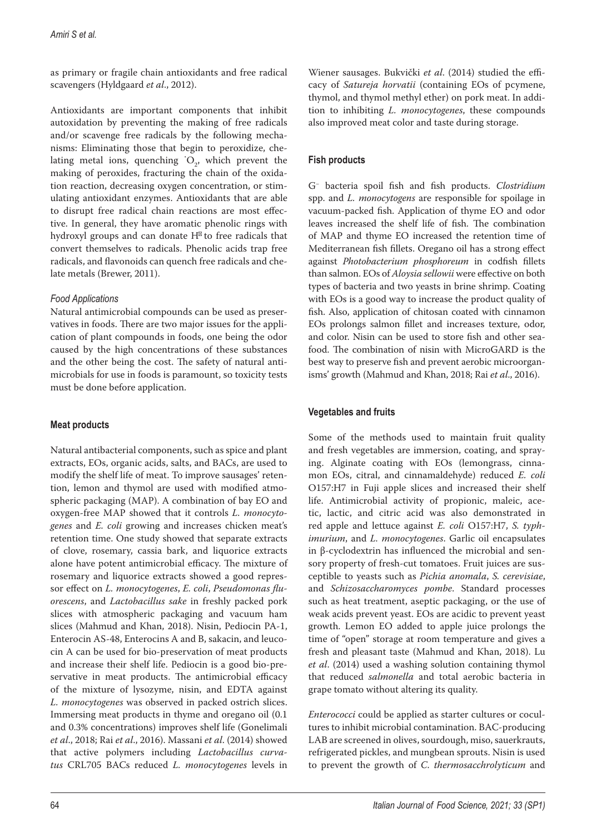as primary or fragile chain antioxidants and free radical scavengers (Hyldgaard *et al*., 2012).

Antioxidants are important components that inhibit autoxidation by preventing the making of free radicals and/or scavenge free radicals by the following mechanisms: Eliminating those that begin to peroxidize, chelating metal ions, quenching  $O_2$ , which prevent the making of peroxides, fracturing the chain of the oxidation reaction, decreasing oxygen concentration, or stimulating antioxidant enzymes. Antioxidants that are able to disrupt free radical chain reactions are most effective. In general, they have aromatic phenolic rings with hydroxyl groups and can donate H to free radicals that convert themselves to radicals. Phenolic acids trap free radicals, and flavonoids can quench free radicals and chelate metals (Brewer, 2011).

## *Food Applications*

Natural antimicrobial compounds can be used as preservatives in foods. There are two major issues for the application of plant compounds in foods, one being the odor caused by the high concentrations of these substances and the other being the cost. The safety of natural antimicrobials for use in foods is paramount, so toxicity tests must be done before application.

# **Meat products**

Natural antibacterial components, such as spice and plant extracts, EOs, organic acids, salts, and BACs, are used to modify the shelf life of meat. To improve sausages' retention, lemon and thymol are used with modified atmospheric packaging (MAP). A combination of bay EO and oxygen-free MAP showed that it controls *L. monocytogenes* and *E. coli* growing and increases chicken meat's retention time. One study showed that separate extracts of clove, rosemary, cassia bark, and liquorice extracts alone have potent antimicrobial efficacy. The mixture of rosemary and liquorice extracts showed a good repressor effect on *L. monocytogenes*, *E. coli*, *Pseudomonas fluorescens*, and *Lactobacillus sake* in freshly packed pork slices with atmospheric packaging and vacuum ham slices (Mahmud and Khan, 2018). Nisin, Pediocin PA-1, Enterocin AS-48, Enterocins A and B, sakacin, and leucocin A can be used for bio-preservation of meat products and increase their shelf life. Pediocin is a good bio-preservative in meat products. The antimicrobial efficacy of the mixture of lysozyme, nisin, and EDTA against *L. monocytogenes* was observed in packed ostrich slices. Immersing meat products in thyme and oregano oil (0.1 and 0.3% concentrations) improves shelf life (Gonelimali *et al*., 2018; Rai *et al*., 2016). Massani *et al*. (2014) showed that active polymers including *Lactobacillus curvatus* CRL705 BACs reduced *L. monocytogenes* levels in

Wiener sausages. Bukvički *et al*. (2014) studied the efficacy of *Satureja horvatii* (containing EOs of pcymene, thymol, and thymol methyl ether) on pork meat. In addition to inhibiting *L. monocytogenes*, these compounds also improved meat color and taste during storage.

## **Fish products**

G− bacteria spoil fish and fish products. *Clostridium* spp. and *L. monocytogens* are responsible for spoilage in vacuum-packed fish. Application of thyme EO and odor leaves increased the shelf life of fish. The combination of MAP and thyme EO increased the retention time of Mediterranean fish fillets. Oregano oil has a strong effect against *Photobacterium phosphoreum* in codfish fillets than salmon. EOs of *Aloysia sellowii* were effective on both types of bacteria and two yeasts in brine shrimp. Coating with EOs is a good way to increase the product quality of fish. Also, application of chitosan coated with cinnamon EOs prolongs salmon fillet and increases texture, odor, and color. Nisin can be used to store fish and other seafood. The combination of nisin with MicroGARD is the best way to preserve fish and prevent aerobic microorganisms' growth (Mahmud and Khan, 2018; Rai *et al*., 2016).

## **Vegetables and fruits**

Some of the methods used to maintain fruit quality and fresh vegetables are immersion, coating, and spraying. Alginate coating with EOs (lemongrass, cinnamon EOs, citral, and cinnamaldehyde) reduced *E. coli* O157:H7 in Fuji apple slices and increased their shelf life. Antimicrobial activity of propionic, maleic, acetic, lactic, and citric acid was also demonstrated in red apple and lettuce against *E. coli* O157:H7, *S. typhimurium*, and *L. monocytogenes*. Garlic oil encapsulates in β-cyclodextrin has influenced the microbial and sensory property of fresh-cut tomatoes. Fruit juices are susceptible to yeasts such as *Pichia anomala*, *S. cerevisiae*, and *Schizosaccharomyces pombe*. Standard processes such as heat treatment, aseptic packaging, or the use of weak acids prevent yeast. EOs are acidic to prevent yeast growth. Lemon EO added to apple juice prolongs the time of "open" storage at room temperature and gives a fresh and pleasant taste (Mahmud and Khan, 2018). Lu *et al*. (2014) used a washing solution containing thymol that reduced *salmonella* and total aerobic bacteria in grape tomato without altering its quality.

*Enterococci* could be applied as starter cultures or cocultures to inhibit microbial contamination. BAC-producing LAB are screened in olives, sourdough, miso, sauerkrauts, refrigerated pickles, and mungbean sprouts. Nisin is used to prevent the growth of *C. thermosacchrolyticum* and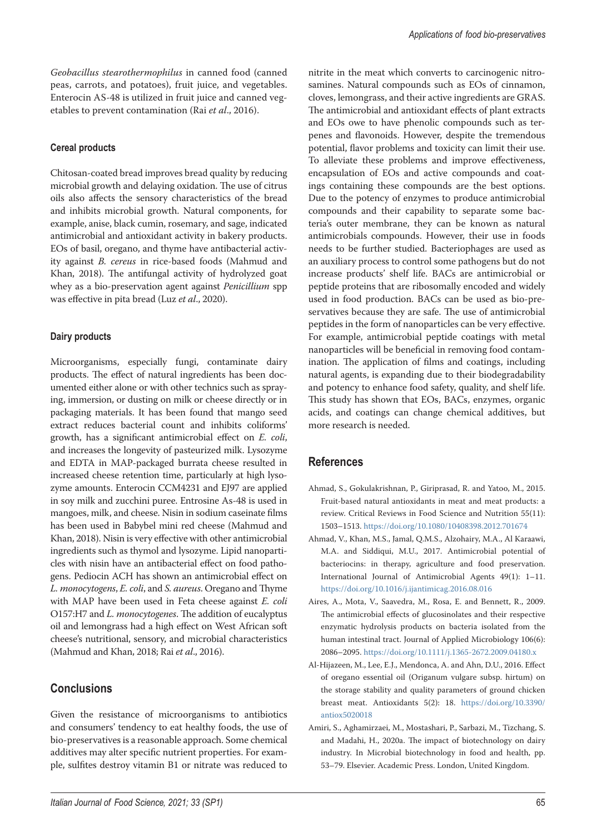*Geobacillus stearothermophilus* in canned food (canned peas, carrots, and potatoes), fruit juice, and vegetables. Enterocin AS-48 is utilized in fruit juice and canned vegetables to prevent contamination (Rai *et al*., 2016).

### **Cereal products**

Chitosan-coated bread improves bread quality by reducing microbial growth and delaying oxidation. The use of citrus oils also affects the sensory characteristics of the bread and inhibits microbial growth. Natural components, for example, anise, black cumin, rosemary, and sage, indicated antimicrobial and antioxidant activity in bakery products. EOs of basil, oregano, and thyme have antibacterial activity against *B. cereus* in rice-based foods (Mahmud and Khan, 2018). The antifungal activity of hydrolyzed goat whey as a bio-preservation agent against *Penicillium* spp was effective in pita bread (Luz *et al*., 2020).

#### **Dairy products**

Microorganisms, especially fungi, contaminate dairy products. The effect of natural ingredients has been documented either alone or with other technics such as spraying, immersion, or dusting on milk or cheese directly or in packaging materials. It has been found that mango seed extract reduces bacterial count and inhibits coliforms' growth, has a significant antimicrobial effect on *E. coli*, and increases the longevity of pasteurized milk. Lysozyme and EDTA in MAP-packaged burrata cheese resulted in increased cheese retention time, particularly at high lysozyme amounts. Enterocin CCM4231 and EJ97 are applied in soy milk and zucchini puree. Entrosine As-48 is used in mangoes, milk, and cheese. Nisin in sodium caseinate films has been used in Babybel mini red cheese (Mahmud and Khan, 2018). Nisin is very effective with other antimicrobial ingredients such as thymol and lysozyme. Lipid nanoparticles with nisin have an antibacterial effect on food pathogens. Pediocin ACH has shown an antimicrobial effect on *L. monocytogens*, *E. coli*, and *S. aureus*. Oregano and Thyme with MAP have been used in Feta cheese against *E. coli* O157:H7 and *L. monocytogenes*. The addition of eucalyptus oil and lemongrass had a high effect on West African soft cheese's nutritional, sensory, and microbial characteristics (Mahmud and Khan, 2018; Rai *et al*., 2016).

## **Conclusions**

Given the resistance of microorganisms to antibiotics and consumers' tendency to eat healthy foods, the use of bio-preservatives is a reasonable approach. Some chemical additives may alter specific nutrient properties. For example, sulfites destroy vitamin B1 or nitrate was reduced to

nitrite in the meat which converts to carcinogenic nitrosamines. Natural compounds such as EOs of cinnamon, cloves, lemongrass, and their active ingredients are GRAS. The antimicrobial and antioxidant effects of plant extracts and EOs owe to have phenolic compounds such as terpenes and flavonoids. However, despite the tremendous potential, flavor problems and toxicity can limit their use. To alleviate these problems and improve effectiveness, encapsulation of EOs and active compounds and coatings containing these compounds are the best options. Due to the potency of enzymes to produce antimicrobial compounds and their capability to separate some bacteria's outer membrane, they can be known as natural antimicrobials compounds. However, their use in foods needs to be further studied. Bacteriophages are used as an auxiliary process to control some pathogens but do not increase products' shelf life. BACs are antimicrobial or peptide proteins that are ribosomally encoded and widely used in food production. BACs can be used as bio-preservatives because they are safe. The use of antimicrobial peptides in the form of nanoparticles can be very effective. For example, antimicrobial peptide coatings with metal nanoparticles will be beneficial in removing food contamination. The application of films and coatings, including natural agents, is expanding due to their biodegradability and potency to enhance food safety, quality, and shelf life. This study has shown that EOs, BACs, enzymes, organic acids, and coatings can change chemical additives, but more research is needed.

## **References**

- Ahmad, S., Gokulakrishnan, P., Giriprasad, R. and Yatoo, M., 2015. Fruit-based natural antioxidants in meat and meat products: a review. Critical Reviews in Food Science and Nutrition 55(11): 1503–1513.<https://doi.org/10.1080/10408398.2012.701674>
- Ahmad, V., Khan, M.S., Jamal, Q.M.S., Alzohairy, M.A., Al Karaawi, M.A. and Siddiqui, M.U., 2017. Antimicrobial potential of bacteriocins: in therapy, agriculture and food preservation. International Journal of Antimicrobial Agents 49(1): 1–11. <https://doi.org/10.1016/j.ijantimicag.2016.08.016>
- Aires, A., Mota, V., Saavedra, M., Rosa, E. and Bennett, R., 2009. The antimicrobial effects of glucosinolates and their respective enzymatic hydrolysis products on bacteria isolated from the human intestinal tract. Journal of Applied Microbiology 106(6): 2086–2095.<https://doi.org/10.1111/j.1365-2672.2009.04180.x>
- Al-Hijazeen, M., Lee, E.J., Mendonca, A. and Ahn, D.U., 2016. Effect of oregano essential oil (Origanum vulgare subsp. hirtum) on the storage stability and quality parameters of ground chicken breast meat. Antioxidants 5(2): 18. [https://doi.org/10.3390/](https://doi.org/10.3390/antiox5020018) [antiox5020018](https://doi.org/10.3390/antiox5020018)
- Amiri, S., Aghamirzaei, M., Mostashari, P., Sarbazi, M., Tizchang, S. and Madahi, H., 2020a. The impact of biotechnology on dairy industry. In Microbial biotechnology in food and health, pp. 53–79. Elsevier. Academic Press. London, United Kingdom.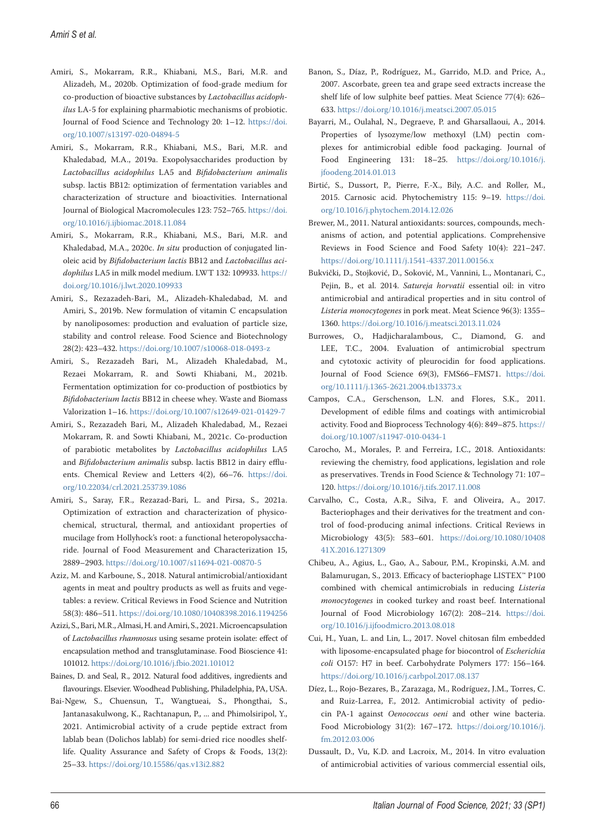- Amiri, S., Mokarram, R.R., Khiabani, M.S., Bari, M.R. and Alizadeh, M., 2020b. Optimization of food-grade medium for co-production of bioactive substances by *Lactobacillus acidophilus* LA-5 for explaining pharmabiotic mechanisms of probiotic. Journal of Food Science and Technology 20: 1–12. [https://doi.](https://doi.org/10.1007/s13197-020-04894-5) [org/10.1007/s13197-020-04894-5](https://doi.org/10.1007/s13197-020-04894-5)
- Amiri, S., Mokarram, R.R., Khiabani, M.S., Bari, M.R. and Khaledabad, M.A., 2019a. Exopolysaccharides production by *Lactobacillus acidophilus* LA5 and *Bifidobacterium animalis* subsp. lactis BB12: optimization of fermentation variables and characterization of structure and bioactivities. International Journal of Biological Macromolecules 123: 752–765. [https://doi.](https://doi.org/10.1016/j.ijbiomac.2018.11.084) [org/10.1016/j.ijbiomac.2018.11.084](https://doi.org/10.1016/j.ijbiomac.2018.11.084)
- Amiri, S., Mokarram, R.R., Khiabani, M.S., Bari, M.R. and Khaledabad, M.A., 2020c. *In situ* production of conjugated linoleic acid by *Bifidobacterium lactis* BB12 and *Lactobacillus acidophilus* LA5 in milk model medium. LWT 132: 109933. [https://](https://doi.org/10.1016/j.lwt.2020.109933) [doi.org/10.1016/j.lwt.2020.109933](https://doi.org/10.1016/j.lwt.2020.109933)
- Amiri, S., Rezazadeh-Bari, M., Alizadeh-Khaledabad, M. and Amiri, S., 2019b. New formulation of vitamin C encapsulation by nanoliposomes: production and evaluation of particle size, stability and control release. Food Science and Biotechnology 28(2): 423–432. <https://doi.org/10.1007/s10068-018-0493-z>
- Amiri, S., Rezazadeh Bari, M., Alizadeh Khaledabad, M., Rezaei Mokarram, R. and Sowti Khiabani, M., 2021b. Fermentation optimization for co-production of postbiotics by *Bifidobacterium lactis* BB12 in cheese whey. Waste and Biomass Valorization 1–16.<https://doi.org/10.1007/s12649-021-01429-7>
- Amiri, S., Rezazadeh Bari, M., Alizadeh Khaledabad, M., Rezaei Mokarram, R. and Sowti Khiabani, M., 2021c. Co-production of parabiotic metabolites by *Lactobacillus acidophilus* LA5 and *Bifidobacterium animalis* subsp. lactis BB12 in dairy effluents. Chemical Review and Letters 4(2), 66–76. [https://doi.](https://doi.org/10.22034/crl.2021.253739.1086) [org/10.22034/crl.2021.253739.1086](https://doi.org/10.22034/crl.2021.253739.1086)
- Amiri, S., Saray, F.R., Rezazad-Bari, L. and Pirsa, S., 2021a. Optimization of extraction and characterization of physicochemical, structural, thermal, and antioxidant properties of mucilage from Hollyhock's root: a functional heteropolysaccharide. Journal of Food Measurement and Characterization 15, 2889–2903. <https://doi.org/10.1007/s11694-021-00870-5>
- Aziz, M. and Karboune, S., 2018. Natural antimicrobial/antioxidant agents in meat and poultry products as well as fruits and vegetables: a review. Critical Reviews in Food Science and Nutrition 58(3): 486–511.<https://doi.org/10.1080/10408398.2016.1194256>
- Azizi, S., Bari, M.R., Almasi, H. and Amiri, S., 2021. Microencapsulation of *Lactobacillus rhamnosus* using sesame protein isolate: effect of encapsulation method and transglutaminase. Food Bioscience 41: 101012. <https://doi.org/10.1016/j.fbio.2021.101012>
- Baines, D. and Seal, R., 2012. Natural food additives, ingredients and flavourings. Elsevier. Woodhead Publishing, Philadelphia, PA, USA.
- Bai-Ngew, S., Chuensun, T., Wangtueai, S., Phongthai, S., Jantanasakulwong, K., Rachtanapun, P., ... and Phimolsiripol, Y., 2021. Antimicrobial activity of a crude peptide extract from lablab bean (Dolichos lablab) for semi-dried rice noodles shelflife. Quality Assurance and Safety of Crops & Foods, 13(2): 25–33. <https://doi.org/10.15586/qas.v13i2.882>
- Banon, S., Díaz, P., Rodríguez, M., Garrido, M.D. and Price, A., 2007. Ascorbate, green tea and grape seed extracts increase the shelf life of low sulphite beef patties. Meat Science 77(4): 626– 633.<https://doi.org/10.1016/j.meatsci.2007.05.015>
- Bayarri, M., Oulahal, N., Degraeve, P. and Gharsallaoui, A., 2014. Properties of lysozyme/low methoxyl (LM) pectin complexes for antimicrobial edible food packaging. Journal of Food Engineering 131: 18–25. [https://doi.org/10.1016/j.](https://doi.org/10.1016/j.jfoodeng.2014.01.013) [jfoodeng.2014.01.013](https://doi.org/10.1016/j.jfoodeng.2014.01.013)
- Birtić, S., Dussort, P., Pierre, F.-X., Bily, A.C. and Roller, M., 2015. Carnosic acid. Phytochemistry 115: 9–19. [https://doi.](https://doi.org/10.1016/j.phytochem.2014.12.026) [org/10.1016/j.phytochem.2014.12.026](https://doi.org/10.1016/j.phytochem.2014.12.026)
- Brewer, M., 2011. Natural antioxidants: sources, compounds, mechanisms of action, and potential applications. Comprehensive Reviews in Food Science and Food Safety 10(4): 221–247. <https://doi.org/10.1111/j.1541-4337.2011.00156.x>
- Bukvički, D., Stojković, D., Soković, M., Vannini, L., Montanari, C., Pejin, B., et al. 2014. *Satureja horvatii* essential oil: in vitro antimicrobial and antiradical properties and in situ control of *Listeria monocytogenes* in pork meat. Meat Science 96(3): 1355– 1360.<https://doi.org/10.1016/j.meatsci.2013.11.024>
- Burrowes, O., Hadjicharalambous, C., Diamond, G. and LEE, T.C., 2004. Evaluation of antimicrobial spectrum and cytotoxic activity of pleurocidin for food applications. Journal of Food Science 69(3), FMS66–FMS71. [https://doi.](https://doi.org/10.1111/j.1365-2621.2004.tb13373.x) [org/10.1111/j.1365-2621.2004.tb13373.x](https://doi.org/10.1111/j.1365-2621.2004.tb13373.x)
- Campos, C.A., Gerschenson, L.N. and Flores, S.K., 2011. Development of edible films and coatings with antimicrobial activity. Food and Bioprocess Technology 4(6): 849–875. [https://](https://doi.org/10.1007/s11947-010-0434-1) [doi.org/10.1007/s11947-010-0434-1](https://doi.org/10.1007/s11947-010-0434-1)
- Carocho, M., Morales, P. and Ferreira, I.C., 2018. Antioxidants: reviewing the chemistry, food applications, legislation and role as preservatives. Trends in Food Science & Technology 71: 107– 120.<https://doi.org/10.1016/j.tifs.2017.11.008>
- Carvalho, C., Costa, A.R., Silva, F. and Oliveira, A., 2017. Bacteriophages and their derivatives for the treatment and control of food-producing animal infections. Critical Reviews in Microbiology 43(5): 583–601. [https://doi.org/10.1080/10408](https://doi.org/10.1080/1040841X.2016.1271309) [41X.2016.1271309](https://doi.org/10.1080/1040841X.2016.1271309)
- Chibeu, A., Agius, L., Gao, A., Sabour, P.M., Kropinski, A.M. and Balamurugan, S., 2013. Efficacy of bacteriophage LISTEX™ P100 combined with chemical antimicrobials in reducing *Listeria monocytogenes* in cooked turkey and roast beef. International Journal of Food Microbiology 167(2): 208–214. [https://doi.](https://doi.org/10.1016/j.ijfoodmicro.2013.08.018) [org/10.1016/j.ijfoodmicro.2013.08.018](https://doi.org/10.1016/j.ijfoodmicro.2013.08.018)
- Cui, H., Yuan, L. and Lin, L., 2017. Novel chitosan film embedded with liposome-encapsulated phage for biocontrol of *Escherichia coli* O157: H7 in beef. Carbohydrate Polymers 177: 156–164. <https://doi.org/10.1016/j.carbpol.2017.08.137>
- Díez, L., Rojo-Bezares, B., Zarazaga, M., Rodríguez, J.M., Torres, C. and Ruiz-Larrea, F., 2012. Antimicrobial activity of pediocin PA-1 against *Oenococcus oeni* and other wine bacteria. Food Microbiology 31(2): 167–172. [https://doi.org/10.1016/j.](https://doi.org/10.1016/j.fm.2012.03.006) [fm.2012.03.006](https://doi.org/10.1016/j.fm.2012.03.006)
- Dussault, D., Vu, K.D. and Lacroix, M., 2014. In vitro evaluation of antimicrobial activities of various commercial essential oils,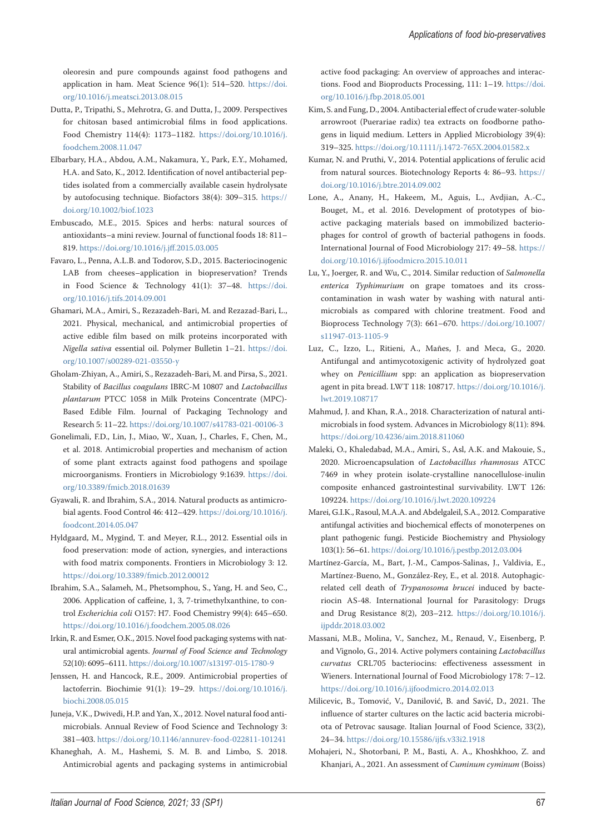oleoresin and pure compounds against food pathogens and application in ham. Meat Science 96(1): 514–520. [https://doi.](https://doi.org/10.1016/j.meatsci.2013.08.015) [org/10.1016/j.meatsci.2013.08.015](https://doi.org/10.1016/j.meatsci.2013.08.015)

- Dutta, P., Tripathi, S., Mehrotra, G. and Dutta, J., 2009. Perspectives for chitosan based antimicrobial films in food applications. Food Chemistry 114(4): 1173–1182. [https://doi.org/10.1016/j.](https://doi.org/10.1016/j.foodchem.2008.11.047) [foodchem.2008.11.047](https://doi.org/10.1016/j.foodchem.2008.11.047)
- Elbarbary, H.A., Abdou, A.M., Nakamura, Y., Park, E.Y., Mohamed, H.A. and Sato, K., 2012. Identification of novel antibacterial peptides isolated from a commercially available casein hydrolysate by autofocusing technique. Biofactors 38(4): 309–315. [https://](https://doi.org/10.1002/biof.1023) [doi.org/10.1002/biof.1023](https://doi.org/10.1002/biof.1023)
- Embuscado, M.E., 2015. Spices and herbs: natural sources of antioxidants–a mini review. Journal of functional foods 18: 811– 819. <https://doi.org/10.1016/j.jff.2015.03.005>
- Favaro, L., Penna, A.L.B. and Todorov, S.D., 2015. Bacteriocinogenic LAB from cheeses–application in biopreservation? Trends in Food Science & Technology 41(1): 37–48. [https://doi.](https://doi.org/10.1016/j.tifs.2014.09.001) [org/10.1016/j.tifs.2014.09.001](https://doi.org/10.1016/j.tifs.2014.09.001)
- Ghamari, M.A., Amiri, S., Rezazadeh-Bari, M. and Rezazad-Bari, L., 2021. Physical, mechanical, and antimicrobial properties of active edible film based on milk proteins incorporated with *Nigella sativa* essential oil. Polymer Bulletin 1–21. [https://doi.](https://doi.org/10.1007/s00289-021-03550-y) [org/10.1007/s00289-021-03550-y](https://doi.org/10.1007/s00289-021-03550-y)
- Gholam-Zhiyan, A., Amiri, S., Rezazadeh-Bari, M. and Pirsa, S., 2021. Stability of *Bacillus coagulans* IBRC-M 10807 and *Lactobacillus plantarum* PTCC 1058 in Milk Proteins Concentrate (MPC)- Based Edible Film. Journal of Packaging Technology and Research 5: 11–22.<https://doi.org/10.1007/s41783-021-00106-3>
- Gonelimali, F.D., Lin, J., Miao, W., Xuan, J., Charles, F., Chen, M., et al. 2018. Antimicrobial properties and mechanism of action of some plant extracts against food pathogens and spoilage microorganisms. Frontiers in Microbiology 9:1639. [https://doi.](https://doi.org/10.3389/fmicb.2018.01639) [org/10.3389/fmicb.2018.01639](https://doi.org/10.3389/fmicb.2018.01639)
- Gyawali, R. and Ibrahim, S.A., 2014. Natural products as antimicrobial agents. Food Control 46: 412–429. [https://doi.org/10.1016/j.](https://doi.org/10.1016/j.foodcont.2014.05.047) [foodcont.2014.05.047](https://doi.org/10.1016/j.foodcont.2014.05.047)
- Hyldgaard, M., Mygind, T. and Meyer, R.L., 2012. Essential oils in food preservation: mode of action, synergies, and interactions with food matrix components. Frontiers in Microbiology 3: 12. <https://doi.org/10.3389/fmicb.2012.00012>
- Ibrahim, S.A., Salameh, M., Phetsomphou, S., Yang, H. and Seo, C., 2006. Application of caffeine, 1, 3, 7-trimethylxanthine, to control *Escherichia coli* O157: H7. Food Chemistry 99(4): 645–650. <https://doi.org/10.1016/j.foodchem.2005.08.026>
- Irkin, R. and Esmer, O.K., 2015. Novel food packaging systems with natural antimicrobial agents. *Journal of Food Science and Technology* 52(10): 6095–6111. <https://doi.org/10.1007/s13197-015-1780-9>
- Jenssen, H. and Hancock, R.E., 2009. Antimicrobial properties of lactoferrin. Biochimie 91(1): 19–29. [https://doi.org/10.1016/j.](https://doi.org/10.1016/j.biochi.2008.05.015) [biochi.2008.05.015](https://doi.org/10.1016/j.biochi.2008.05.015)
- Juneja, V.K., Dwivedi, H.P. and Yan, X., 2012. Novel natural food antimicrobials. Annual Review of Food Science and Technology 3: 381–403. <https://doi.org/10.1146/annurev-food-022811-101241>
- Khaneghah, A. M., Hashemi, S. M. B. and Limbo, S. 2018. Antimicrobial agents and packaging systems in antimicrobial

active food packaging: An overview of approaches and interactions. Food and Bioproducts Processing, 111: 1–19. [https://doi.](https://doi.org/10.1016/j.fbp.2018.05.001) [org/10.1016/j.fbp.2018.05.001](https://doi.org/10.1016/j.fbp.2018.05.001)

- Kim, S. and Fung, D., 2004. Antibacterial effect of crude water-soluble arrowroot (Puerariae radix) tea extracts on foodborne pathogens in liquid medium. Letters in Applied Microbiology 39(4): 319–325.<https://doi.org/10.1111/j.1472-765X.2004.01582.x>
- Kumar, N. and Pruthi, V., 2014. Potential applications of ferulic acid from natural sources. Biotechnology Reports 4: 86–93. [https://](https://doi.org/10.1016/j.btre.2014.09.002) [doi.org/10.1016/j.btre.2014.09.002](https://doi.org/10.1016/j.btre.2014.09.002)
- Lone, A., Anany, H., Hakeem, M., Aguis, L., Avdjian, A.-C., Bouget, M., et al. 2016. Development of prototypes of bioactive packaging materials based on immobilized bacteriophages for control of growth of bacterial pathogens in foods. International Journal of Food Microbiology 217: 49–58. [https://](https://doi.org/10.1016/j.ijfoodmicro.2015.10.011) [doi.org/10.1016/j.ijfoodmicro.2015.10.011](https://doi.org/10.1016/j.ijfoodmicro.2015.10.011)
- Lu, Y., Joerger, R. and Wu, C., 2014. Similar reduction of *Salmonella enterica Typhimurium* on grape tomatoes and its crosscontamination in wash water by washing with natural antimicrobials as compared with chlorine treatment. Food and Bioprocess Technology 7(3): 661–670. [https://doi.org/10.1007/](https://doi.org/10.1007/s11947-013-1105-9) [s11947-013-1105-9](https://doi.org/10.1007/s11947-013-1105-9)
- Luz, C., Izzo, L., Ritieni, A., Mañes, J. and Meca, G., 2020. Antifungal and antimycotoxigenic activity of hydrolyzed goat whey on *Penicillium* spp: an application as biopreservation agent in pita bread. LWT 118: 108717. [https://doi.org/10.1016/j.](https://doi.org/10.1016/j.lwt.2019.108717) [lwt.2019.108717](https://doi.org/10.1016/j.lwt.2019.108717)
- Mahmud, J. and Khan, R.A., 2018. Characterization of natural antimicrobials in food system. Advances in Microbiology 8(11): 894. <https://doi.org/10.4236/aim.2018.811060>
- Maleki, O., Khaledabad, M.A., Amiri, S., Asl, A.K. and Makouie, S., 2020. Microencapsulation of *Lactobacillus rhamnosus* ATCC 7469 in whey protein isolate-crystalline nanocellulose-inulin composite enhanced gastrointestinal survivability. LWT 126: 109224.<https://doi.org/10.1016/j.lwt.2020.109224>
- Marei, G.I.K., Rasoul, M.A.A. and Abdelgaleil, S.A., 2012. Comparative antifungal activities and biochemical effects of monoterpenes on plant pathogenic fungi. Pesticide Biochemistry and Physiology 103(1): 56–61.<https://doi.org/10.1016/j.pestbp.2012.03.004>
- Martínez-García, M., Bart, J.-M., Campos-Salinas, J., Valdivia, E., Martínez-Bueno, M., González-Rey, E., et al. 2018. Autophagicrelated cell death of *Trypanosoma brucei* induced by bacteriocin AS-48. International Journal for Parasitology: Drugs and Drug Resistance 8(2), 203–212. [https://doi.org/10.1016/j.](https://doi.org/10.1016/j.ijpddr.2018.03.002) [ijpddr.2018.03.002](https://doi.org/10.1016/j.ijpddr.2018.03.002)
- Massani, M.B., Molina, V., Sanchez, M., Renaud, V., Eisenberg, P. and Vignolo, G., 2014. Active polymers containing *Lactobacillus curvatus* CRL705 bacteriocins: effectiveness assessment in Wieners. International Journal of Food Microbiology 178: 7–12. <https://doi.org/10.1016/j.ijfoodmicro.2014.02.013>
- Milicevic, B., Tomović, V., Danilović, B. and Savić, D., 2021. The influence of starter cultures on the lactic acid bacteria microbiota of Petrovac sausage. Italian Journal of Food Science, 33(2), 24–34. <https://doi.org/10.15586/ijfs.v33i2.1918>
- Mohajeri, N., Shotorbani, P. M., Basti, A. A., Khoshkhoo, Z. and Khanjari, A., 2021. An assessment of *Cuminum cyminum* (Boiss)